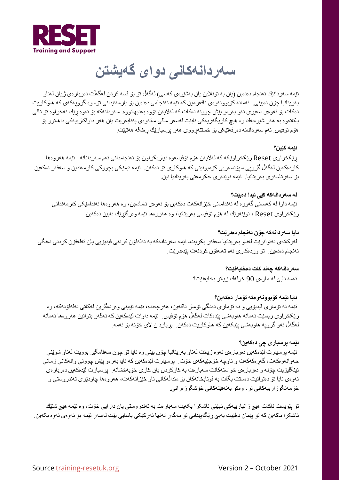

## **سھردانھکانی دوای گھیشتن**

ئێمھ سھردانێك ئھنجام دەدەین (یان بھ ئۆنلاین یان بھشێوەی کھسی) لھگھڵ تۆ بۆ قسھ کردن لھگھڵت دەربارەی ژیان لھناو بھریتانیا چۆن دەبینی. ئھمانھ کۆبوونھوەی نافھرمین کھ ئێمھ ئھنجامی دەدەین بۆ یارمھتیدانی تۆ، وە گروپھکھی کھ ھاوکاریت دەکات بۆ ئھوەی سھیری ئھو بھرەو پێش چوونھ دەکات کھ لھلایھن تۆوە بھدیھاتووە. سھردانھکھ بۆ ئھوە ڕێك نھخراوە تۆ تاقی بکاتھوە بھ ھھر شێوەیھك وە ھیچ کاریگھریھکی نابێت لھسھر مافی مانھوەی پھنابھریت یان ھھر داواکارییھکی داھاتوو بۆ ھۆم ئۆفیس. ئھم سھردانانھ دەرفھتێکن بۆ خستنھڕووی ھھر پرسیارێك ڕەنگھ ھھتبێت.

#### **ئێمھ کێین؟**

ڕێکخراوی Reset ڕێکخراوێکھ کھ لھلایھن ھۆم ئۆفیسھوە دیاریکراون بۆ ئھنجامدانی ئھم سھردانانھ. ئێمھ ھھروەھا کاردەکھین لھگھڵ گروپی سپۆنسھریی کۆمیونیتی کھ ھاوکاری تۆ دەکھن. ئێمھ تیمێکی بچووکی کارمھندین و سھفھر دەکھین بۆ سھرتاسھری بھریتانیا. ئێمھ نوێنھری حکومھتی بھریتانیا نین.

**لھ سھردانھکھ کێی تێدا دەبێت؟** ئێمھ داوا لھ کھسانی گھورە لھ ئھندامانی خێزانھکھت دەکھین بۆ ئھوەی ئامادەبن، وە ھھروەھا ئھندامێکی کارمھندانی ڕێکخراوی Reset ، نوێنھرێك لھ ھۆم ئۆفیسی بھریتانیا، وە ھھروەھا ئێمھ وەرگێڕێك دابین دەکھین.

**ئایا سھردانھکھ چۆن ئھنجام دەدرێت؟** لھوکاتھی نھتوانرێت لھناو بھریتانیا سھفھر بکرێت، ئێمھ سھردانھکھ بھ تھلھفۆن کردنی ڤیدیۆیی یان تھلھفۆن کردنی دەنگی ئھنجام دەدەین. تۆ وردەکاری ئھم تھلھفۆن کردنھت پێدەدرێت.

> **سھردانھکھ چھند کات دەخایھنێت؟** ئھمھ نابێ لھ ماوەی 90 خولھك زیاتر بخایھنێت؟

**ئایا ئێمھ کۆبوونھوەکھ تۆمار دەکھین؟**  ئێمه نه تۆماری ڤیدیۆیی و نه تۆماری دەنگی تۆمار ناکەین، هەرچەندە، ئێمه تێبینی وەردەگرین لەکاتی تەلەفۆنەکە، وە ڕێکخراوی ریسێت ئھمانھ ھاوبھشی پێدەکات لھگھڵ ھۆم ئۆفیس. ئێمھ داوات لێدەکھین کھ ئھگھر بتوانین ھھروەھا ئھمانھ لھگھڵ ئھو گروپھ ھاوبھشی پێبکھین کھ ھاوکاریت دەکھن. بڕیاردان لای خۆتھ بۆ ئھمھ.

#### **ئێمھ پرسیاری چی دەکھین؟**

ئێمه پرسیارت لێدەکەین دەربارەی ئەوە ژیانت لەناو بەریتانیا چۆن بینی وە ئایا تۆ چۆن سەقامگیر بوویت لەناو شوێنی حھوانھوەکھت، گھڕەکھکھت و ناوچھ خۆجێیھکھی خۆت. پرسیارت لێدەکھین کھ ئایا بھرەو پێش چوونی وانھکانی زمانی ئینگلیزیت چۆنھ و دەربارەی خواستھکانت سھبارەت بھ کارکردن یان کاری خۆبھخشانھ. پرسیارت لێدەکھین دەربارەی ئھوەی ئایا تۆ دەتوانیت دەستت بگات بھ قوتابخانھکان بۆ منداڵھکانی ناو خێزانھکھت، ھھروەھا چاودێری تھندروستی و خزمھتگوزارییھکانی تر، وەکو بھنھفێتھکانی خۆشگوزەرانی.

تۆ پێویست ناکات ھیچ زانیارییەکی نھێنی ئاشکرا بکەیت سەبارەت بە تەندروستی یان دارایی خۆت، وه ئێمه ھیچ شتێك ئاشکرا ناکھین کھ تۆ پێمان دەڵێیت بھبێ ڕێگھپێدانی تۆ مھگھر تھنھا ئھرکێکی یاسایی بێت لھسھر ئێمھ بۆ ئھوەی ئھوە بکھین.